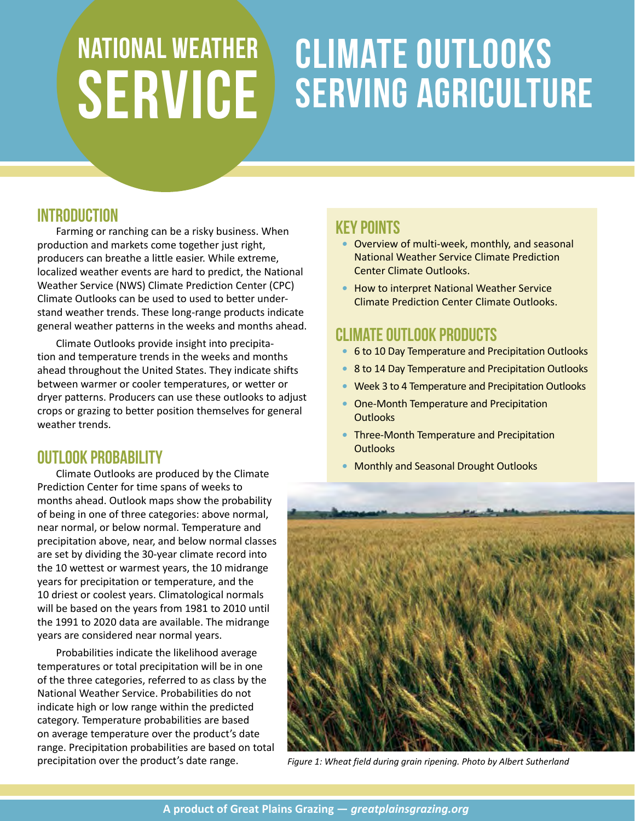# National weather service Climate Outlooks SERVING AGRICULTURE

### **INTRODUCTION**

Farming or ranching can be a risky business. When production and markets come together just right, producers can breathe a little easier. While extreme, localized weather events are hard to predict, the National Weather Service (NWS) Climate Prediction Center (CPC) Climate Outlooks can be used to used to better understand weather trends. These long-range products indicate general weather patterns in the weeks and months ahead.

Climate Outlooks provide insight into precipitation and temperature trends in the weeks and months ahead throughout the United States. They indicate shifts between warmer or cooler temperatures, or wetter or dryer patterns. Producers can use these outlooks to adjust crops or grazing to better position themselves for general weather trends.

### OUTLOOK PROBABILITY

Climate Outlooks are produced by the Climate Prediction Center for time spans of weeks to months ahead. Outlook maps show the probability of being in one of three categories: above normal, near normal, or below normal. Temperature and precipitation above, near, and below normal classes are set by dividing the 30-year climate record into the 10 wettest or warmest years, the 10 midrange years for precipitation or temperature, and the 10 driest or coolest years. Climatological normals will be based on the years from 1981 to 2010 until the 1991 to 2020 data are available. The midrange years are considered near normal years.

Probabilities indicate the likelihood average temperatures or total precipitation will be in one of the three categories, referred to as class by the National Weather Service. Probabilities do not indicate high or low range within the predicted category. Temperature probabilities are based on average temperature over the product's date range. Precipitation probabilities are based on total precipitation over the product's date range.

### Key Points

- *•* Overview of multi-week, monthly, and seasonal National Weather Service Climate Prediction Center Climate Outlooks.
- *•* How to interpret National Weather Service Climate Prediction Center Climate Outlooks.

## CLIMATE OUTLOOK PRODUCTS

- *•* 6 to 10 Day Temperature and Precipitation Outlooks
- *•* 8 to 14 Day Temperature and Precipitation Outlooks
- *•* Week 3 to 4 Temperature and Precipitation Outlooks
- *•* One-Month Temperature and Precipitation **Outlooks**
- *•* Three-Month Temperature and Precipitation **Outlooks**
- *•* Monthly and Seasonal Drought Outlooks



*Figure 1: Wheat field during grain ripening. Photo by Albert Sutherland*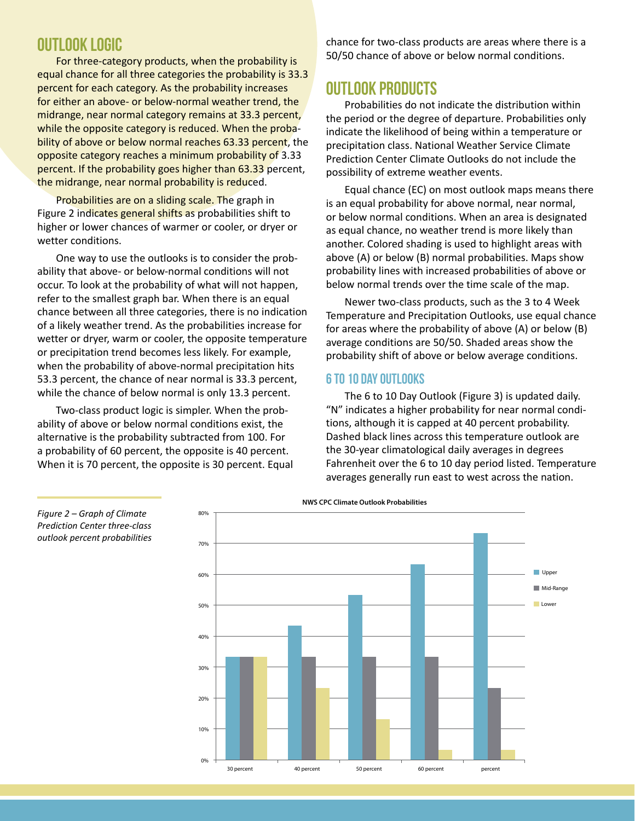### OUTLOOK LOGIC

For three-category products, when the probability is equal chance for all three categories the probability is 33.3 percent for each category. As the probability increases for either an above- or below-normal weather trend, the midrange, near normal category remains at 33.3 percent, while the opposite category is reduced. When the probability of above or below normal reaches 63.33 percent, the opposite category reaches a minimum probability of 3.33 percent. If the probability goes higher than 63.33 percent, the midrange, near normal probability is reduced.

Probabilities are on a sliding scale. The graph in Figure 2 indicates general shifts as probabilities shift to higher or lower chances of warmer or cooler, or dryer or wetter conditions.

One way to use the outlooks is to consider the probability that above- or below-normal conditions will not occur. To look at the probability of what will not happen, refer to the smallest graph bar. When there is an equal chance between all three categories, there is no indication of a likely weather trend. As the probabilities increase for wetter or dryer, warm or cooler, the opposite temperature or precipitation trend becomes less likely. For example, when the probability of above-normal precipitation hits 53.3 percent, the chance of near normal is 33.3 percent, while the chance of below normal is only 13.3 percent.

Two-class product logic is simpler. When the probability of above or below normal conditions exist, the alternative is the probability subtracted from 100. For a probability of 60 percent, the opposite is 40 percent. When it is 70 percent, the opposite is 30 percent. Equal chance for two-class products are areas where there is a 50/50 chance of above or below normal conditions.

### **OUTLOOK PRODUCTS**

Probabilities do not indicate the distribution within the period or the degree of departure. Probabilities only indicate the likelihood of being within a temperature or precipitation class. National Weather Service Climate Prediction Center Climate Outlooks do not include the possibility of extreme weather events.

Equal chance (EC) on most outlook maps means there is an equal probability for above normal, near normal, or below normal conditions. When an area is designated as equal chance, no weather trend is more likely than another. Colored shading is used to highlight areas with above (A) or below (B) normal probabilities. Maps show probability lines with increased probabilities of above or below normal trends over the time scale of the map.

Newer two-class products, such as the 3 to 4 Week Temperature and Precipitation Outlooks, use equal chance for areas where the probability of above (A) or below (B) average conditions are 50/50. Shaded areas show the probability shift of above or below average conditions.

#### 6 to 10 Day Outlooks

The 6 to 10 Day Outlook (Figure 3) is updated daily. "N" indicates a higher probability for near normal conditions, although it is capped at 40 percent probability. Dashed black lines across this temperature outlook are the 30-year climatological daily averages in degrees Fahrenheit over the 6 to 10 day period listed. Temperature averages generally run east to west across the nation.



*Figure 2 – Graph of Climate Prediction Center three-class outlook percent probabilities*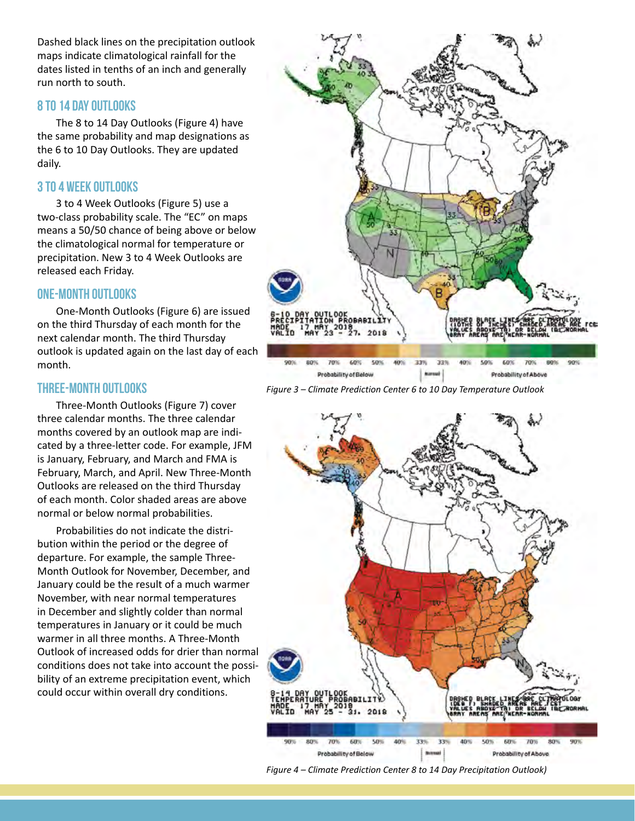Dashed black lines on the precipitation outlook maps indicate climatological rainfall for the dates listed in tenths of an inch and generally run north to south.

#### 8 to 14 Day Outlooks

The 8 to 14 Day Outlooks (Figure 4) have the same probability and map designations as the 6 to 10 Day Outlooks. They are updated daily.

#### 3 to 4 Week Outlooks

3 to 4 Week Outlooks (Figure 5) use a two-class probability scale. The "EC" on maps means a 50/50 chance of being above or below the climatological normal for temperature or precipitation. New 3 to 4 Week Outlooks are released each Friday.

### One-Month Outlooks

One-Month Outlooks (Figure 6) are issued on the third Thursday of each month for the next calendar month. The third Thursday outlook is updated again on the last day of each month.

#### Three-Month Outlooks

Three-Month Outlooks (Figure 7) cover three calendar months. The three calendar months covered by an outlook map are indicated by a three-letter code. For example, JFM is January, February, and March and FMA is February, March, and April. New Three-Month Outlooks are released on the third Thursday of each month. Color shaded areas are above normal or below normal probabilities.

Probabilities do not indicate the distribution within the period or the degree of departure. For example, the sample Three-Month Outlook for November, December, and January could be the result of a much warmer November, with near normal temperatures in December and slightly colder than normal temperatures in January or it could be much warmer in all three months. A Three-Month Outlook of increased odds for drier than normal conditions does not take into account the possibility of an extreme precipitation event, which could occur within overall dry conditions.







*Figure 4 – Climate Prediction Center 8 to 14 Day Precipitation Outlook)*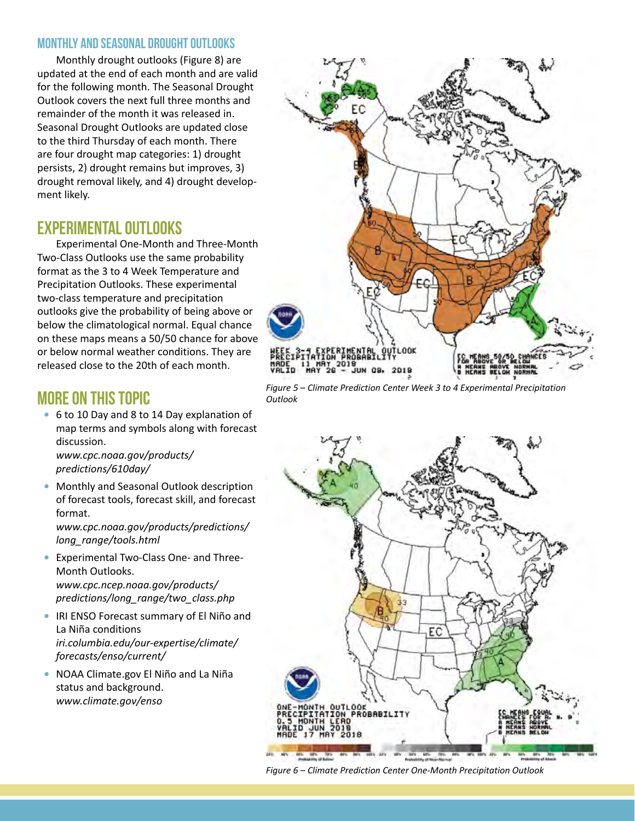#### Monthly and Seasonal Drought Outlooks

Monthly drought outlooks (Figure 8) are updated at the end of each month and are valid for the following month. The Seasonal Drought Outlook covers the next full three months and remainder of the month it was released in. Seasonal Drought Outlooks are updated close to the third Thursday of each month. There are four drought map categories: 1) drought persists, 2) drought remains but improves, 3) drought removal likely, and 4) drought development likely.

### EXPERIMENTAL OUTLOOKS

Experimental One-Month and Three-Month Two-Class Outlooks use the same probability format as the 3 to 4 Week Temperature and Precipitation Outlooks. These experimental two-class temperature and precipitation outlooks give the probability of being above or below the climatological normal. Equal chance on these maps means a 50/50 chance for above or below normal weather conditions. They are released close to the 20th of each month.

### MORE ON THIS TOPIC

*•* 6 to 10 Day and 8 to 14 Day explanation of map terms and symbols along with forecast discussion. *[www.cpc.noaa.gov/products/](http://www.cpc.noaa.gov/products/predictions/610day/)*

*[predictions/610day/](http://www.cpc.noaa.gov/products/predictions/610day/)*

*•* Monthly and Seasonal Outlook description of forecast tools, forecast skill, and forecast format.

*[www.cpc.noaa.gov/products/predictions/](http://www.cpc.noaa.gov/products/predictions/long_range/tools.html) [long\\_range/tools.html](http://www.cpc.noaa.gov/products/predictions/long_range/tools.html)*

- *•* Experimental Two-Class One- and Three-Month Outlooks. *[www.cpc.ncep.noaa.gov/products/](http://www.cpc.ncep.noaa.gov/products/predictions/long_range/two_class.php) [predictions/long\\_range/two\\_class.php](http://www.cpc.ncep.noaa.gov/products/predictions/long_range/two_class.php)*
- *•* IRI ENSO Forecast summary of El Niño and La Niña conditions *[iri.columbia.edu/our-expertise/climate/](http://iri.columbia.edu/our-expertise/climate/forecasts/enso/current/) [forecasts/enso/current/](http://iri.columbia.edu/our-expertise/climate/forecasts/enso/current/)*
- *•* NOAA Climate.gov El Niño and La Niña status and background. *[www.climate.gov/enso](http://www.climate.gov/enso)*



*Figure 5 – Climate Prediction Center Week 3 to 4 Experimental Precipitation Outlook*



*Figure 6 – Climate Prediction Center One-Month Precipitation Outlook*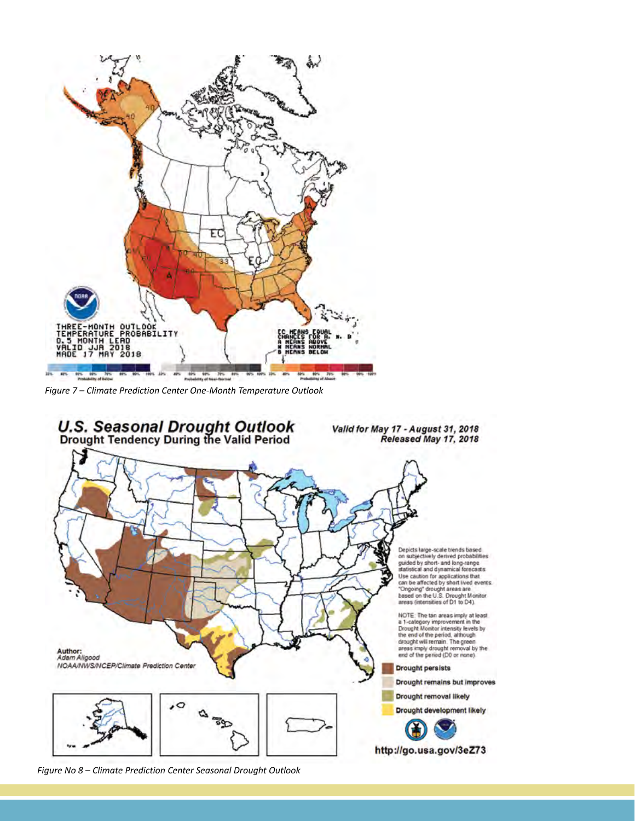

*Figure 7 – Climate Prediction Center One-Month Temperature Outlook*



*Figure No 8 – Climate Prediction Center Seasonal Drought Outlook*